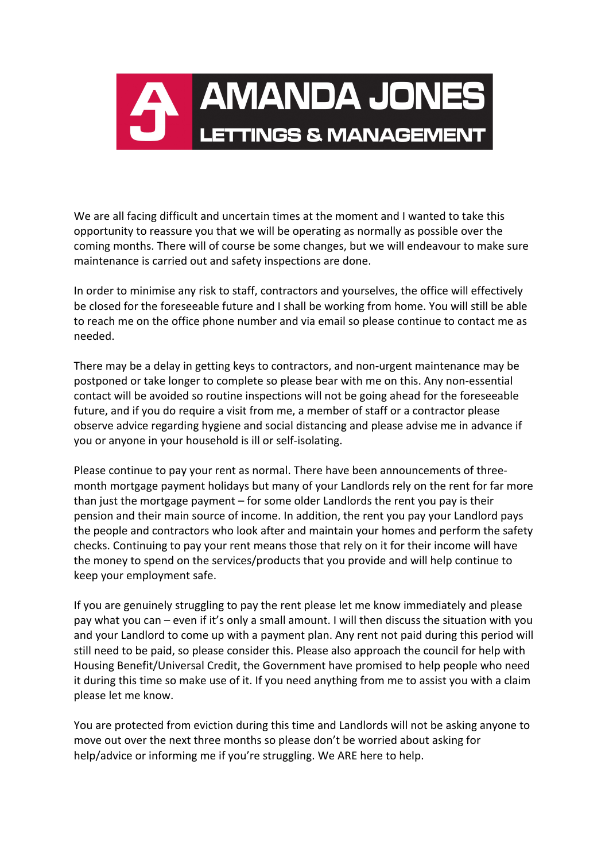

We are all facing difficult and uncertain times at the moment and I wanted to take this opportunity to reassure you that we will be operating as normally as possible over the coming months. There will of course be some changes, but we will endeavour to make sure maintenance is carried out and safety inspections are done.

In order to minimise any risk to staff, contractors and yourselves, the office will effectively be closed for the foreseeable future and I shall be working from home. You will still be able to reach me on the office phone number and via email so please continue to contact me as needed.

There may be a delay in getting keys to contractors, and non-urgent maintenance may be postponed or take longer to complete so please bear with me on this. Any non-essential contact will be avoided so routine inspections will not be going ahead for the foreseeable future, and if you do require a visit from me, a member of staff or a contractor please observe advice regarding hygiene and social distancing and please advise me in advance if you or anyone in your household is ill or self-isolating.

Please continue to pay your rent as normal. There have been announcements of threemonth mortgage payment holidays but many of your Landlords rely on the rent for far more than just the mortgage payment – for some older Landlords the rent you pay is their pension and their main source of income. In addition, the rent you pay your Landlord pays the people and contractors who look after and maintain your homes and perform the safety checks. Continuing to pay your rent means those that rely on it for their income will have the money to spend on the services/products that you provide and will help continue to keep your employment safe.

If you are genuinely struggling to pay the rent please let me know immediately and please pay what you can – even if it's only a small amount. I will then discuss the situation with you and your Landlord to come up with a payment plan. Any rent not paid during this period will still need to be paid, so please consider this. Please also approach the council for help with Housing Benefit/Universal Credit, the Government have promised to help people who need it during this time so make use of it. If you need anything from me to assist you with a claim please let me know.

You are protected from eviction during this time and Landlords will not be asking anyone to move out over the next three months so please don't be worried about asking for help/advice or informing me if you're struggling. We ARE here to help.